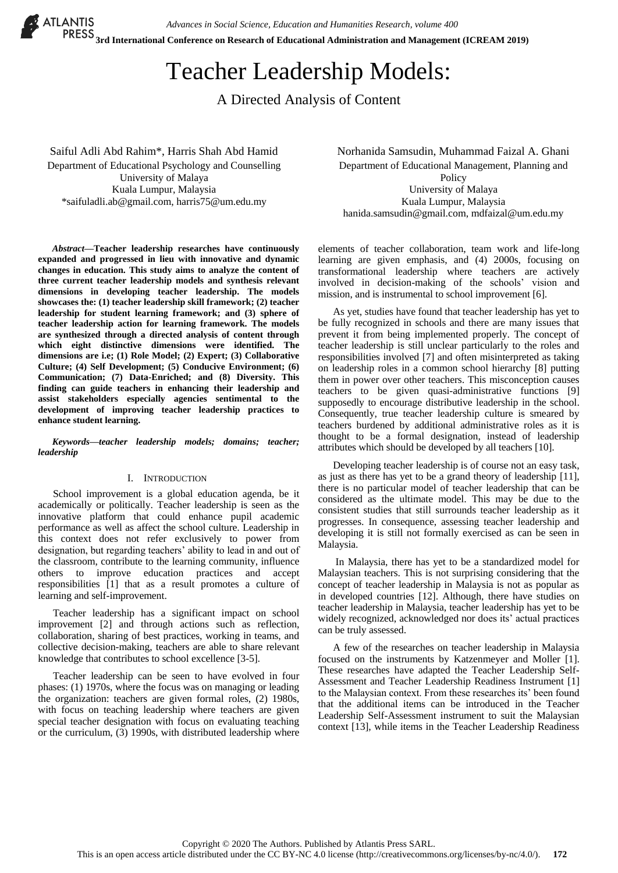*Advances in Social Science, Education and Humanities Research, volume 400*

 **3rd International Conference on Research of Educational Administration and Management (ICREAM 2019)** 

# Teacher Leadership Models:

A Directed Analysis of Content

Saiful Adli Abd Rahim\*, Harris Shah Abd Hamid Department of Educational Psychology and Counselling University of Malaya Kuala Lumpur, Malaysia \*saifuladli.ab@gmail.com, harris75@um.edu.my

*Abstract***—Teacher leadership researches have continuously expanded and progressed in lieu with innovative and dynamic changes in education. This study aims to analyze the content of three current teacher leadership models and synthesis relevant dimensions in developing teacher leadership. The models showcases the: (1) teacher leadership skill framework; (2) teacher leadership for student learning framework; and (3) sphere of teacher leadership action for learning framework. The models are synthesized through a directed analysis of content through which eight distinctive dimensions were identified. The dimensions are i.e; (1) Role Model; (2) Expert; (3) Collaborative Culture; (4) Self Development; (5) Conducive Environment; (6) Communication; (7) Data-Enriched; and (8) Diversity. This finding can guide teachers in enhancing their leadership and assist stakeholders especially agencies sentimental to the development of improving teacher leadership practices to enhance student learning.**

*Keywords—teacher leadership models; domains; teacher; leadership*

## I. INTRODUCTION

School improvement is a global education agenda, be it academically or politically. Teacher leadership is seen as the innovative platform that could enhance pupil academic performance as well as affect the school culture. Leadership in this context does not refer exclusively to power from designation, but regarding teachers' ability to lead in and out of the classroom, contribute to the learning community, influence others to improve education practices and accept responsibilities [1] that as a result promotes a culture of learning and self-improvement.

Teacher leadership has a significant impact on school improvement [2] and through actions such as reflection, collaboration, sharing of best practices, working in teams, and collective decision-making, teachers are able to share relevant knowledge that contributes to school excellence [3-5].

Teacher leadership can be seen to have evolved in four phases: (1) 1970s, where the focus was on managing or leading the organization: teachers are given formal roles, (2) 1980s, with focus on teaching leadership where teachers are given special teacher designation with focus on evaluating teaching or the curriculum, (3) 1990s, with distributed leadership where Norhanida Samsudin, Muhammad Faizal A. Ghani Department of Educational Management, Planning and Policy University of Malaya Kuala Lumpur, Malaysia hanida.samsudin@gmail.com, mdfaizal@um.edu.my

elements of teacher collaboration, team work and life-long learning are given emphasis, and (4) 2000s, focusing on transformational leadership where teachers are actively involved in decision-making of the schools' vision and mission, and is instrumental to school improvement [6].

As yet, studies have found that teacher leadership has yet to be fully recognized in schools and there are many issues that prevent it from being implemented properly. The concept of teacher leadership is still unclear particularly to the roles and responsibilities involved [7] and often misinterpreted as taking on leadership roles in a common school hierarchy [8] putting them in power over other teachers. This misconception causes teachers to be given quasi-administrative functions [9] supposedly to encourage distributive leadership in the school. Consequently, true teacher leadership culture is smeared by teachers burdened by additional administrative roles as it is thought to be a formal designation, instead of leadership attributes which should be developed by all teachers [10].

Developing teacher leadership is of course not an easy task, as just as there has yet to be a grand theory of leadership [11], there is no particular model of teacher leadership that can be considered as the ultimate model. This may be due to the consistent studies that still surrounds teacher leadership as it progresses. In consequence, assessing teacher leadership and developing it is still not formally exercised as can be seen in Malaysia.

In Malaysia, there has yet to be a standardized model for Malaysian teachers. This is not surprising considering that the concept of teacher leadership in Malaysia is not as popular as in developed countries [12]. Although, there have studies on teacher leadership in Malaysia, teacher leadership has yet to be widely recognized, acknowledged nor does its' actual practices can be truly assessed.

A few of the researches on teacher leadership in Malaysia focused on the instruments by Katzenmeyer and Moller [1]. These researches have adapted the Teacher Leadership Self-Assessment and Teacher Leadership Readiness Instrument [1] to the Malaysian context. From these researches its' been found that the additional items can be introduced in the Teacher Leadership Self-Assessment instrument to suit the Malaysian context [13], while items in the Teacher Leadership Readiness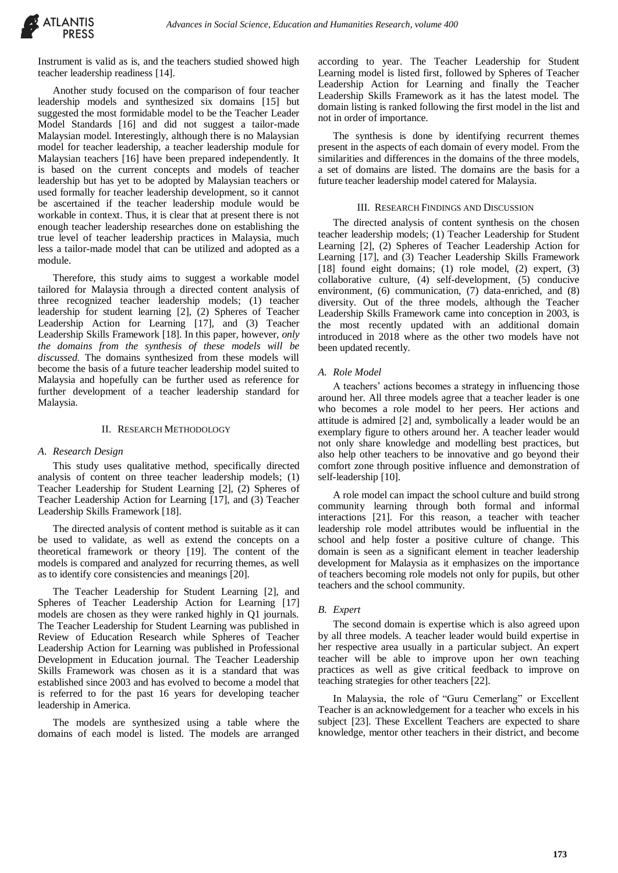

Instrument is valid as is, and the teachers studied showed high teacher leadership readiness [14].

Another study focused on the comparison of four teacher leadership models and synthesized six domains [15] but suggested the most formidable model to be the Teacher Leader Model Standards [16] and did not suggest a tailor-made Malaysian model. Interestingly, although there is no Malaysian model for teacher leadership, a teacher leadership module for Malaysian teachers [16] have been prepared independently. It is based on the current concepts and models of teacher leadership but has yet to be adopted by Malaysian teachers or used formally for teacher leadership development, so it cannot be ascertained if the teacher leadership module would be workable in context. Thus, it is clear that at present there is not enough teacher leadership researches done on establishing the true level of teacher leadership practices in Malaysia, much less a tailor-made model that can be utilized and adopted as a module.

Therefore, this study aims to suggest a workable model tailored for Malaysia through a directed content analysis of three recognized teacher leadership models; (1) teacher leadership for student learning [2], (2) Spheres of Teacher Leadership Action for Learning [17], and (3) Teacher Leadership Skills Framework [18]. In this paper, however, *only the domains from the synthesis of these models will be discussed.* The domains synthesized from these models will become the basis of a future teacher leadership model suited to Malaysia and hopefully can be further used as reference for further development of a teacher leadership standard for Malaysia.

## II. RESEARCH METHODOLOGY

#### *A. Research Design*

This study uses qualitative method, specifically directed analysis of content on three teacher leadership models; (1) Teacher Leadership for Student Learning [2], (2) Spheres of Teacher Leadership Action for Learning [17], and (3) Teacher Leadership Skills Framework [18].

The directed analysis of content method is suitable as it can be used to validate, as well as extend the concepts on a theoretical framework or theory [19]. The content of the models is compared and analyzed for recurring themes, as well as to identify core consistencies and meanings [20].

The Teacher Leadership for Student Learning [2], and Spheres of Teacher Leadership Action for Learning [17] models are chosen as they were ranked highly in Q1 journals. The Teacher Leadership for Student Learning was published in Review of Education Research while Spheres of Teacher Leadership Action for Learning was published in Professional Development in Education journal. The Teacher Leadership Skills Framework was chosen as it is a standard that was established since 2003 and has evolved to become a model that is referred to for the past 16 years for developing teacher leadership in America.

The models are synthesized using a table where the domains of each model is listed. The models are arranged

according to year. The Teacher Leadership for Student Learning model is listed first, followed by Spheres of Teacher Leadership Action for Learning and finally the Teacher Leadership Skills Framework as it has the latest model. The domain listing is ranked following the first model in the list and not in order of importance.

The synthesis is done by identifying recurrent themes present in the aspects of each domain of every model. From the similarities and differences in the domains of the three models, a set of domains are listed. The domains are the basis for a future teacher leadership model catered for Malaysia.

## III. RESEARCH FINDINGS AND DISCUSSION

The directed analysis of content synthesis on the chosen teacher leadership models; (1) Teacher Leadership for Student Learning [2], (2) Spheres of Teacher Leadership Action for Learning [17], and (3) Teacher Leadership Skills Framework [18] found eight domains; (1) role model, (2) expert, (3) collaborative culture, (4) self-development, (5) conducive environment, (6) communication, (7) data-enriched, and (8) diversity. Out of the three models, although the Teacher Leadership Skills Framework came into conception in 2003, is the most recently updated with an additional domain introduced in 2018 where as the other two models have not been updated recently.

#### *A. Role Model*

A teachers' actions becomes a strategy in influencing those around her. All three models agree that a teacher leader is one who becomes a role model to her peers. Her actions and attitude is admired [2] and, symbolically a leader would be an exemplary figure to others around her. A teacher leader would not only share knowledge and modelling best practices, but also help other teachers to be innovative and go beyond their comfort zone through positive influence and demonstration of self-leadership [10].

A role model can impact the school culture and build strong community learning through both formal and informal interactions [21]. For this reason, a teacher with teacher leadership role model attributes would be influential in the school and help foster a positive culture of change. This domain is seen as a significant element in teacher leadership development for Malaysia as it emphasizes on the importance of teachers becoming role models not only for pupils, but other teachers and the school community.

## *B. Expert*

The second domain is expertise which is also agreed upon by all three models. A teacher leader would build expertise in her respective area usually in a particular subject. An expert teacher will be able to improve upon her own teaching practices as well as give critical feedback to improve on teaching strategies for other teachers [22].

In Malaysia, the role of "Guru Cemerlang" or Excellent Teacher is an acknowledgement for a teacher who excels in his subject [23]. These Excellent Teachers are expected to share knowledge, mentor other teachers in their district, and become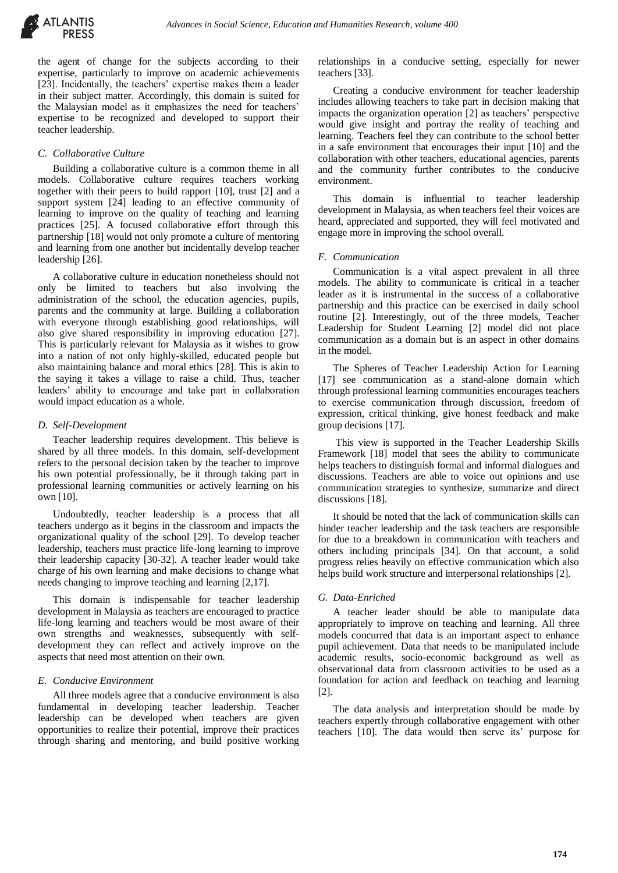

the agent of change for the subjects according to their expertise, particularly to improve on academic achievements [23]. Incidentally, the teachers' expertise makes them a leader in their subject matter. Accordingly, this domain is suited for the Malaysian model as it emphasizes the need for teachers' expertise to be recognized and developed to support their teacher leadership.

## *C. Collaborative Culture*

Building a collaborative culture is a common theme in all models. Collaborative culture requires teachers working together with their peers to build rapport [10], trust [2] and a support system [24] leading to an effective community of learning to improve on the quality of teaching and learning practices [25]. A focused collaborative effort through this partnership [18] would not only promote a culture of mentoring and learning from one another but incidentally develop teacher leadership [26].

A collaborative culture in education nonetheless should not only be limited to teachers but also involving the administration of the school, the education agencies, pupils, parents and the community at large. Building a collaboration with everyone through establishing good relationships, will also give shared responsibility in improving education [27]. This is particularly relevant for Malaysia as it wishes to grow into a nation of not only highly-skilled, educated people but also maintaining balance and moral ethics [28]. This is akin to the saying it takes a village to raise a child. Thus, teacher leaders' ability to encourage and take part in collaboration would impact education as a whole.

# *D. Self-Development*

Teacher leadership requires development. This believe is shared by all three models. In this domain, self-development refers to the personal decision taken by the teacher to improve his own potential professionally, be it through taking part in professional learning communities or actively learning on his own [10].

Undoubtedly, teacher leadership is a process that all teachers undergo as it begins in the classroom and impacts the organizational quality of the school [29]. To develop teacher leadership, teachers must practice life-long learning to improve their leadership capacity [30-32]. A teacher leader would take charge of his own learning and make decisions to change what needs changing to improve teaching and learning [2,17].

This domain is indispensable for teacher leadership development in Malaysia as teachers are encouraged to practice life-long learning and teachers would be most aware of their own strengths and weaknesses, subsequently with selfdevelopment they can reflect and actively improve on the aspects that need most attention on their own.

## *E. Conducive Environment*

All three models agree that a conducive environment is also fundamental in developing teacher leadership. Teacher leadership can be developed when teachers are given opportunities to realize their potential, improve their practices through sharing and mentoring, and build positive working

relationships in a conducive setting, especially for newer teachers [33].

Creating a conducive environment for teacher leadership includes allowing teachers to take part in decision making that impacts the organization operation [2] as teachers' perspective would give insight and portray the reality of teaching and learning. Teachers feel they can contribute to the school better in a safe environment that encourages their input [10] and the collaboration with other teachers, educational agencies, parents and the community further contributes to the conducive environment.

This domain is influential to teacher leadership development in Malaysia, as when teachers feel their voices are heard, appreciated and supported, they will feel motivated and engage more in improving the school overall.

## *F. Communication*

Communication is a vital aspect prevalent in all three models. The ability to communicate is critical in a teacher leader as it is instrumental in the success of a collaborative partnership and this practice can be exercised in daily school routine [2]. Interestingly, out of the three models, Teacher Leadership for Student Learning [2] model did not place communication as a domain but is an aspect in other domains in the model.

The Spheres of Teacher Leadership Action for Learning [17] see communication as a stand-alone domain which through professional learning communities encourages teachers to exercise communication through discussion, freedom of expression, critical thinking, give honest feedback and make group decisions [17].

This view is supported in the Teacher Leadership Skills Framework [18] model that sees the ability to communicate helps teachers to distinguish formal and informal dialogues and discussions. Teachers are able to voice out opinions and use communication strategies to synthesize, summarize and direct discussions [18].

It should be noted that the lack of communication skills can hinder teacher leadership and the task teachers are responsible for due to a breakdown in communication with teachers and others including principals [34]. On that account, a solid progress relies heavily on effective communication which also helps build work structure and interpersonal relationships [2].

## *G. Data-Enriched*

A teacher leader should be able to manipulate data appropriately to improve on teaching and learning. All three models concurred that data is an important aspect to enhance pupil achievement. Data that needs to be manipulated include academic results, socio-economic background as well as observational data from classroom activities to be used as a foundation for action and feedback on teaching and learning [2].

The data analysis and interpretation should be made by teachers expertly through collaborative engagement with other teachers [10]. The data would then serve its' purpose for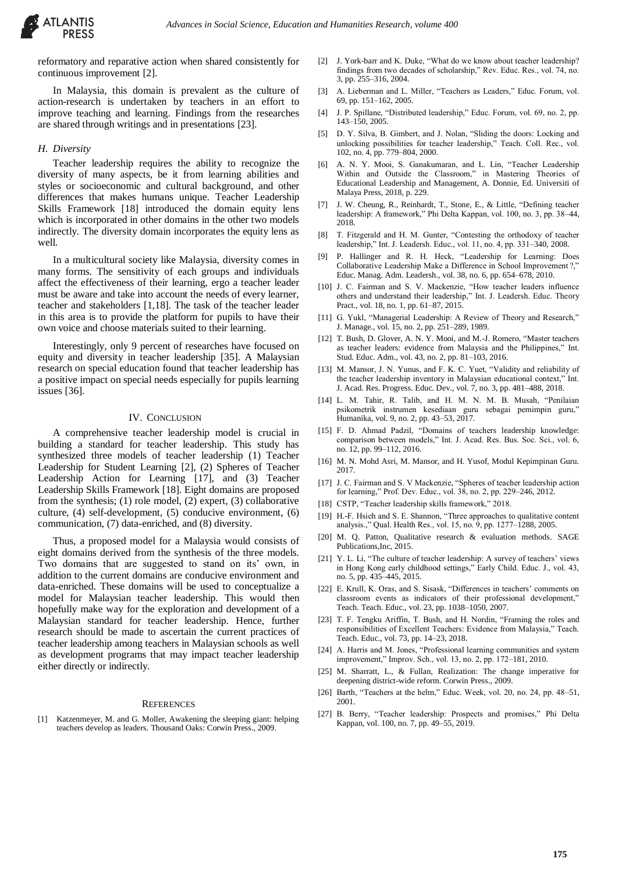

reformatory and reparative action when shared consistently for continuous improvement [2].

In Malaysia, this domain is prevalent as the culture of action-research is undertaken by teachers in an effort to improve teaching and learning. Findings from the researches are shared through writings and in presentations [23].

## *H. Diversity*

Teacher leadership requires the ability to recognize the diversity of many aspects, be it from learning abilities and styles or socioeconomic and cultural background, and other differences that makes humans unique. Teacher Leadership Skills Framework [18] introduced the domain equity lens which is incorporated in other domains in the other two models indirectly. The diversity domain incorporates the equity lens as well.

In a multicultural society like Malaysia, diversity comes in many forms. The sensitivity of each groups and individuals affect the effectiveness of their learning, ergo a teacher leader must be aware and take into account the needs of every learner, teacher and stakeholders [1,18]. The task of the teacher leader in this area is to provide the platform for pupils to have their own voice and choose materials suited to their learning.

Interestingly, only 9 percent of researches have focused on equity and diversity in teacher leadership [35]. A Malaysian research on special education found that teacher leadership has a positive impact on special needs especially for pupils learning issues [36].

## IV. CONCLUSION

A comprehensive teacher leadership model is crucial in building a standard for teacher leadership. This study has synthesized three models of teacher leadership (1) Teacher Leadership for Student Learning [2], (2) Spheres of Teacher Leadership Action for Learning [17], and (3) Teacher Leadership Skills Framework [18]. Eight domains are proposed from the synthesis; (1) role model, (2) expert, (3) collaborative culture, (4) self-development, (5) conducive environment, (6) communication, (7) data-enriched, and (8) diversity.

Thus, a proposed model for a Malaysia would consists of eight domains derived from the synthesis of the three models. Two domains that are suggested to stand on its' own, in addition to the current domains are conducive environment and data-enriched. These domains will be used to conceptualize a model for Malaysian teacher leadership. This would then hopefully make way for the exploration and development of a Malaysian standard for teacher leadership. Hence, further research should be made to ascertain the current practices of teacher leadership among teachers in Malaysian schools as well as development programs that may impact teacher leadership either directly or indirectly.

#### **REFERENCES**

[1] Katzenmeyer, M. and G. Moller, Awakening the sleeping giant: helping teachers develop as leaders. Thousand Oaks: Corwin Press., 2009.

- [2] J. York-barr and K. Duke, "What do we know about teacher leadership? findings from two decades of scholarship," Rev. Educ. Res., vol. 74, no. 3, pp. 255–316, 2004.
- [3] A. Lieberman and L. Miller, "Teachers as Leaders," Educ. Forum, vol. 69, pp. 151–162, 2005.
- [4] J. P. Spillane, "Distributed leadership," Educ. Forum, vol. 69, no. 2, pp. 143–150, 2005.
- [5] D. Y. Silva, B. Gimbert, and J. Nolan, "Sliding the doors: Locking and unlocking possibilities for teacher leadership," Teach. Coll. Rec., vol. 102, no. 4, pp. 779–804, 2000.
- [6] A. N. Y. Mooi, S. Ganakumaran, and L. Lin, "Teacher Leadership Within and Outside the Classroom," in Mastering Theories of Educational Leadership and Management, A. Donnie, Ed. Universiti of Malaya Press, 2018, p. 229.
- [7] J. W. Cheung, R., Reinhardt, T., Stone, E., & Little, "Defining teacher leadership: A framework," Phi Delta Kappan, vol. 100, no. 3, pp. 38–44, 2018.
- [8] T. Fitzgerald and H. M. Gunter, "Contesting the orthodoxy of teacher leadership," Int. J. Leadersh. Educ., vol. 11, no. 4, pp. 331–340, 2008.
- [9] P. Hallinger and R. H. Heck, "Leadership for Learning: Does Collaborative Leadership Make a Difference in School Improvement ?," Educ. Manag. Adm. Leadersh., vol. 38, no. 6, pp. 654–678, 2010.
- [10] J. C. Fairman and S. V. Mackenzie, "How teacher leaders influence others and understand their leadership," Int. J. Leadersh. Educ. Theory Pract., vol. 18, no. 1, pp. 61–87, 2015.
- [11] G. Yukl, "Managerial Leadership: A Review of Theory and Research," J. Manage., vol. 15, no. 2, pp. 251–289, 1989.
- [12] T. Bush, D. Glover, A. N. Y. Mooi, and M.-J. Romero, "Master teachers as teacher leaders: evidence from Malaysia and the Philippines," Int. Stud. Educ. Adm., vol. 43, no. 2, pp. 81–103, 2016.
- [13] M. Mansor, J. N. Yunus, and F. K. C. Yuet, "Validity and reliability of the teacher leadership inventory in Malaysian educational context," Int. J. Acad. Res. Progress. Educ. Dev., vol. 7, no. 3, pp. 481–488, 2018.
- [14] L. M. Tahir, R. Talib, and H. M. N. M. B. Musah, "Penilaian psikometrik instrumen kesediaan guru sebagai pemimpin guru," Humanika, vol. 9, no. 2, pp. 43–53, 2017.
- [15] F. D. Ahmad Padzil, "Domains of teachers leadership knowledge: comparison between models," Int. J. Acad. Res. Bus. Soc. Sci., vol. 6, no. 12, pp. 99–112, 2016.
- [16] M. N. Mohd Asri, M. Mansor, and H. Yusof, Modul Kepimpinan Guru. 2017.
- [17] J. C. Fairman and S. V Mackenzie, "Spheres of teacher leadership action for learning," Prof. Dev. Educ., vol. 38, no. 2, pp. 229–246, 2012.
- [18] CSTP, "Teacher leadership skills framework," 2018.
- [19] H.-F. Hsieh and S. E. Shannon, "Three approaches to qualitative content analysis.," Qual. Health Res., vol. 15, no. 9, pp. 1277–1288, 2005.
- [20] M. Q. Patton, Qualitative research & evaluation methods. SAGE Publications,Inc, 2015.
- [21] Y. L. Li, "The culture of teacher leadership: A survey of teachers' views in Hong Kong early childhood settings," Early Child. Educ. J., vol. 43, no. 5, pp. 435–445, 2015.
- [22] E. Krull, K. Oras, and S. Sisask, "Differences in teachers' comments on classroom events as indicators of their professional development," Teach. Teach. Educ., vol. 23, pp. 1038–1050, 2007.
- [23] T. F. Tengku Ariffin, T. Bush, and H. Nordin, "Framing the roles and responsibilities of Excellent Teachers: Evidence from Malaysia," Teach. Teach. Educ., vol. 73, pp. 14–23, 2018.
- [24] A. Harris and M. Jones, "Professional learning communities and system improvement," Improv. Sch., vol. 13, no. 2, pp. 172–181, 2010.
- M. Sharratt, L., & Fullan, Realization: The change imperative for deepening district-wide reform. Corwin Press., 2009.
- [26] Barth, "Teachers at the helm," Educ. Week, vol. 20, no. 24, pp. 48–51, 2001.
- [27] B. Berry, "Teacher leadership: Prospects and promises," Phi Delta Kappan, vol. 100, no. 7, pp. 49–55, 2019.